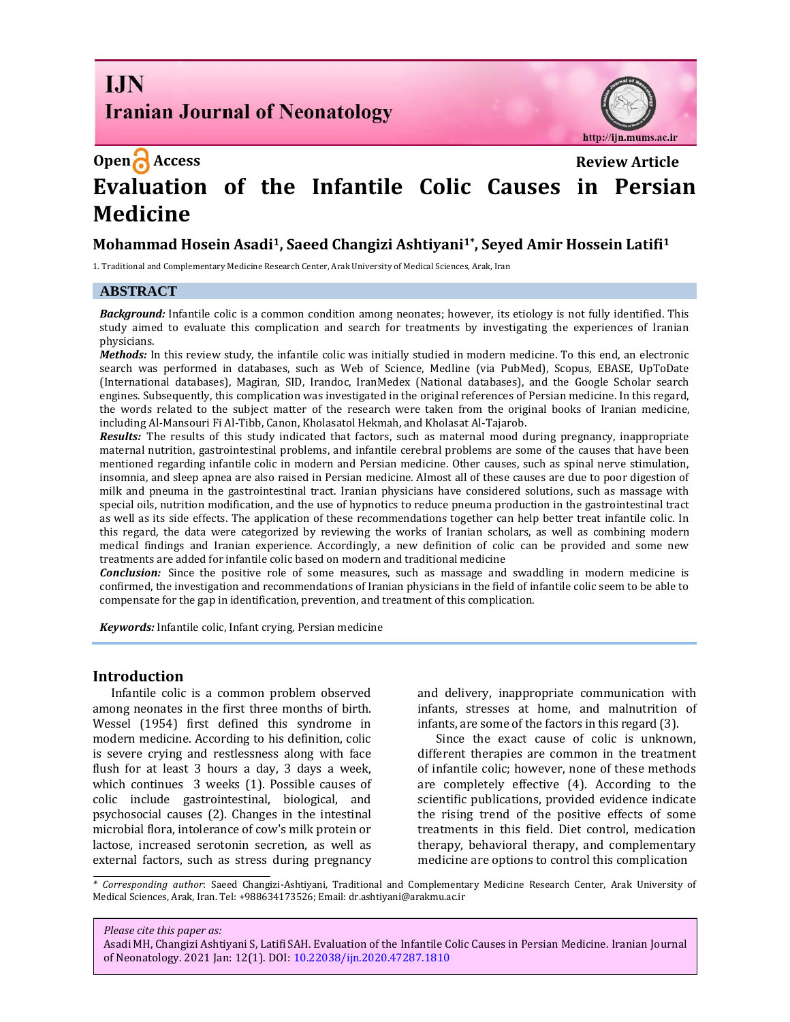**I.IN Iranian Journal of Neonatology** 



# **Open Access Review Article Evaluation of the Infantile Colic Causes in Persian Medicine**

## **Mohammad Hosein Asadi1, Saeed Changizi Ashtiyani1\* , Seyed Amir Hossein Latifi<sup>1</sup>**

1. Traditional and Complementary Medicine Research Center, Arak University of Medical Sciences, Arak, Iran

#### **ABSTRACT**

*Background:* Infantile colic is a common condition among neonates; however, its etiology is not fully identified. This study aimed to evaluate this complication and search for treatments by investigating the experiences of Iranian physicians.

*Methods:* In this review study, the infantile colic was initially studied in modern medicine. To this end, an electronic search was performed in databases, such as Web of Science, Medline (via PubMed), Scopus, EBASE, UpToDate (International databases), Magiran, SID, Irandoc, IranMedex (National databases), and the Google Scholar search engines. Subsequently, this complication was investigated in the original references of Persian medicine. In this regard, the words related to the subject matter of the research were taken from the original books of Iranian medicine, including Al*-*Mansouri Fi Al-Tibb, Canon, Kholasatol Hekmah, and Kholasat Al-Tajarob.

*Results:* The results of this study indicated that factors, such as maternal mood during pregnancy, inappropriate maternal nutrition, gastrointestinal problems, and infantile cerebral problems are some of the causes that have been mentioned regarding infantile colic in modern and Persian medicine. Other causes, such as spinal nerve stimulation, insomnia, and sleep apnea are also raised in Persian medicine. Almost all of these causes are due to poor digestion of milk and pneuma in the gastrointestinal tract. Iranian physicians have considered solutions, such as massage with special oils, nutrition modification, and the use of hypnotics to reduce pneuma production in the gastrointestinal tract as well as its side effects. The application of these recommendations together can help better treat infantile colic. In this regard, the data were categorized by reviewing the works of Iranian scholars, as well as combining modern medical findings and Iranian experience. Accordingly, a new definition of colic can be provided and some new treatments are added for infantile colic based on modern and traditional medicine

*Conclusion:* Since the positive role of some measures, such as massage and swaddling in modern medicine is confirmed, the investigation and recommendations of Iranian physicians in the field of infantile colic seem to be able to compensate for the gap in identification, prevention, and treatment of this complication.

*Keywords:* Infantile colic, Infant crying, Persian medicine

#### **Introduction**

Infantile colic is a common problem observed among neonates in the first three months of birth. Wessel (1954) first defined this syndrome in modern medicine. According to his definition, colic is severe crying and restlessness along with face flush for at least 3 hours a day, 3 days a week, which continues 3 weeks (1). Possible causes of colic include gastrointestinal, biological, and psychosocial causes (2). Changes in the intestinal microbial flora, intolerance of cow's milk protein or lactose, increased serotonin secretion, as well as external factors, such as stress during pregnancy and delivery, inappropriate communication with infants, stresses at home, and malnutrition of infants, are some of the factors in this regard (3).

Since the exact cause of colic is unknown, different therapies are common in the treatment of infantile colic; however, none of these methods are completely effective (4). According to the scientific publications, provided evidence indicate the rising trend of the positive effects of some treatments in this field. Diet control, medication therapy, behavioral therapy, and complementary medicine are options to control this complication

*\* Corresponding author*: Saeed Changizi-Ashtiyani, Traditional and Complementary Medicine Research Center, Arak University of Medical Sciences, Arak, Iran. Tel: +988634173526; Email: dr.ashtiyani@arakmu.ac.ir

#### *Please cite this paper as:*

Asadi MH, Changizi Ashtiyani S, Latifi SAH. Evaluation of the Infantile Colic Causes in Persian Medicine. Iranian Journal of Neonatology. 2021 Jan: 12(1). DOI: [10.22038/ijn.2020.47287.1810](https://ijn.mums.ac.ir/)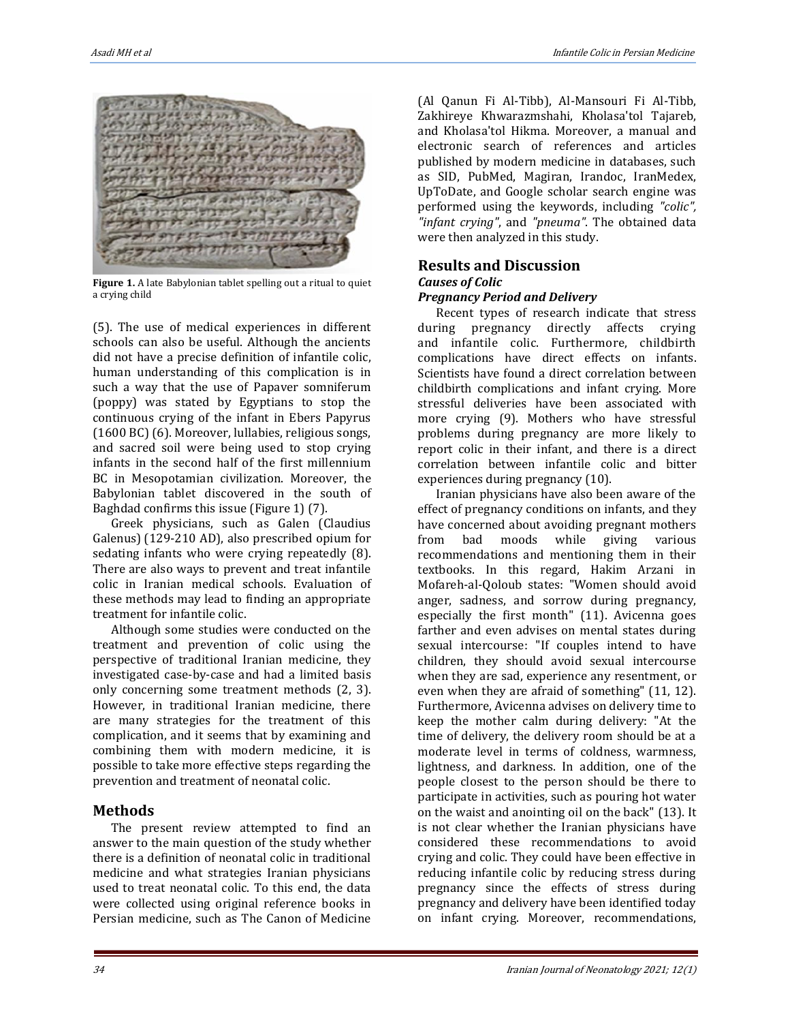

**Figure 1.** A late Babylonian tablet spelling out a ritual to quiet a crying child

(5). The use of medical experiences in different schools can also be useful. Although the ancients did not have a precise definition of infantile colic, human understanding of this complication is in such a way that the use of Papaver somniferum (poppy) was stated by Egyptians to stop the continuous crying of the infant in Ebers Papyrus (1600 BC) (6). Moreover, lullabies, religious songs, and sacred soil were being used to stop crying infants in the second half of the first millennium BC in Mesopotamian civilization. Moreover, the Babylonian tablet discovered in the south of Baghdad confirms this issue (Figure 1) (7).

Greek physicians, such as Galen (Claudius Galenus) (129-210 AD), also prescribed opium for sedating infants who were crying repeatedly (8). There are also ways to prevent and treat infantile colic in Iranian medical schools. Evaluation of these methods may lead to finding an appropriate treatment for infantile colic.

Although some studies were conducted on the treatment and prevention of colic using the perspective of traditional Iranian medicine, they investigated case-by-case and had a limited basis only concerning some treatment methods (2, 3). However, in traditional Iranian medicine, there are many strategies for the treatment of this complication, and it seems that by examining and combining them with modern medicine, it is possible to take more effective steps regarding the prevention and treatment of neonatal colic.

## **Methods**

The present review attempted to find an answer to the main question of the study whether there is a definition of neonatal colic in traditional medicine and what strategies Iranian physicians used to treat neonatal colic. To this end, the data were collected using original reference books in Persian medicine, such as The Canon of Medicine (Al Qanun Fi Al-Tibb), Al-Mansouri Fi Al-Tibb, Zakhireye Khwarazmshahi, Kholasa'tol Tajareb, and Kholasa'tol Hikma. Moreover, a manual and electronic search of references and articles published by modern medicine in databases, such as SID, PubMed, Magiran, Irandoc, IranMedex, UpToDate, and Google scholar search engine was performed using the keywords, including *"colic", "infant crying"*, and *"pneuma"*. The obtained data were then analyzed in this study.

## **Results and Discussion** *Causes of Colic*

## *Pregnancy Period and Delivery*

Recent types of research indicate that stress during pregnancy directly affects crying and infantile colic. Furthermore, childbirth complications have direct effects on infants. Scientists have found a direct correlation between childbirth complications and infant crying. More stressful deliveries have been associated with more crying (9). Mothers who have stressful problems during pregnancy are more likely to report colic in their infant, and there is a direct correlation between infantile colic and bitter experiences during pregnancy (10).

Iranian physicians have also been aware of the effect of pregnancy conditions on infants, and they have concerned about avoiding pregnant mothers from bad moods while giving various recommendations and mentioning them in their textbooks. In this regard, Hakim Arzani in Mofareh-al-Qoloub states: "Women should avoid anger, sadness, and sorrow during pregnancy, especially the first month" (11). Avicenna goes farther and even advises on mental states during sexual intercourse: "If couples intend to have children, they should avoid sexual intercourse when they are sad, experience any resentment, or even when they are afraid of something" (11, 12). Furthermore, Avicenna advises on delivery time to keep the mother calm during delivery: "At the time of delivery, the delivery room should be at a moderate level in terms of coldness, warmness, lightness, and darkness. In addition, one of the people closest to the person should be there to participate in activities, such as pouring hot water on the waist and anointing oil on the back" (13). It is not clear whether the Iranian physicians have considered these recommendations to avoid crying and colic. They could have been effective in reducing infantile colic by reducing stress during pregnancy since the effects of stress during pregnancy and delivery have been identified today on infant crying. Moreover, recommendations,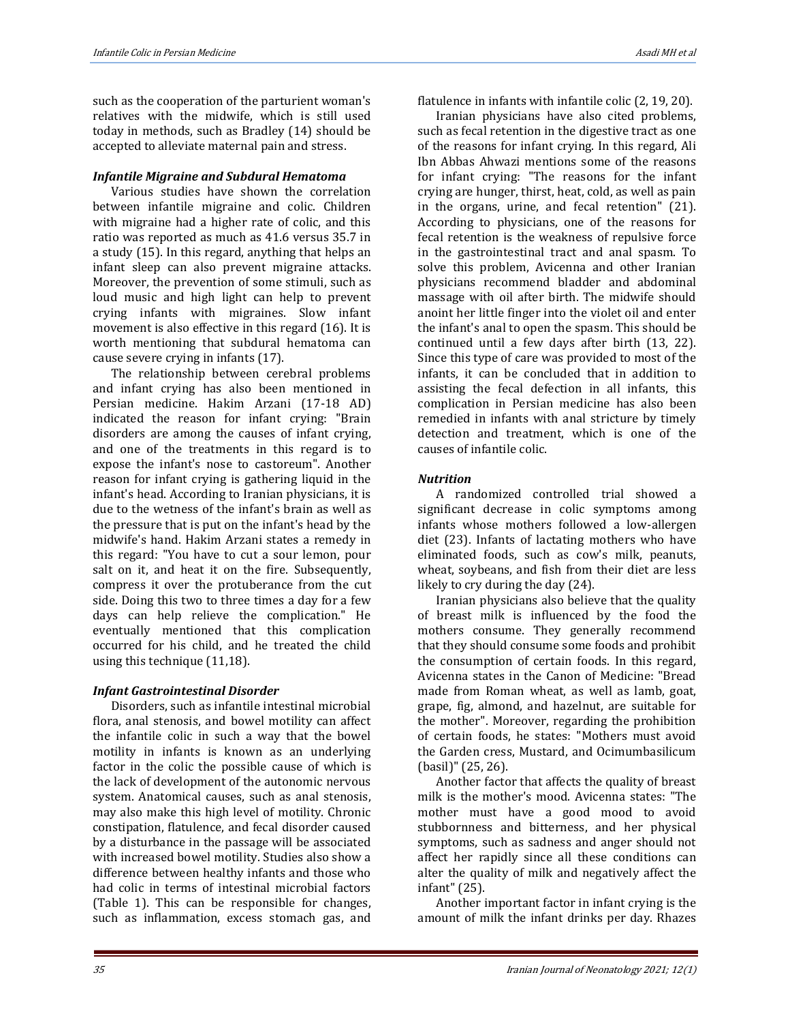such as the cooperation of the parturient woman's relatives with the midwife, which is still used today in methods, such as Bradley (14) should be accepted to alleviate maternal pain and stress.

#### *Infantile Migraine and Subdural Hematoma*

Various studies have shown the correlation between infantile migraine and colic. Children with migraine had a higher rate of colic, and this ratio was reported as much as 41.6 versus 35.7 in a study (15). In this regard, anything that helps an infant sleep can also prevent migraine attacks. Moreover, the prevention of some stimuli, such as loud music and high light can help to prevent crying infants with migraines. Slow infant movement is also effective in this regard (16). It is worth mentioning that subdural hematoma can cause severe crying in infants (17).

The relationship between cerebral problems and infant crying has also been mentioned in Persian medicine. Hakim Arzani (17-18 AD) indicated the reason for infant crying: "Brain disorders are among the causes of infant crying, and one of the treatments in this regard is to expose the infant's nose to castoreum". Another reason for infant crying is gathering liquid in the infant's head. According to Iranian physicians, it is due to the wetness of the infant's brain as well as the pressure that is put on the infant's head by the midwife's hand. Hakim Arzani states a remedy in this regard: "You have to cut a sour lemon, pour salt on it, and heat it on the fire. Subsequently, compress it over the protuberance from the cut side. Doing this two to three times a day for a few days can help relieve the complication." He eventually mentioned that this complication occurred for his child, and he treated the child using this technique (11,18).

## *Infant Gastrointestinal Disorder*

Disorders, such as infantile intestinal microbial flora, anal stenosis, and bowel motility can affect the infantile colic in such a way that the bowel motility in infants is known as an underlying factor in the colic the possible cause of which is the lack of development of the autonomic nervous system. Anatomical causes, such as anal stenosis, may also make this high level of motility. Chronic constipation, flatulence, and fecal disorder caused by a disturbance in the passage will be associated with increased bowel motility. Studies also show a difference between healthy infants and those who had colic in terms of intestinal microbial factors (Table 1). This can be responsible for changes, such as inflammation, excess stomach gas, and flatulence in infants with infantile colic (2, 19, 20).

Iranian physicians have also cited problems, such as fecal retention in the digestive tract as one of the reasons for infant crying. In this regard, Ali Ibn Abbas Ahwazi mentions some of the reasons for infant crying: "The reasons for the infant crying are hunger, thirst, heat, cold, as well as pain in the organs, urine, and fecal retention" (21). According to physicians, one of the reasons for fecal retention is the weakness of repulsive force in the gastrointestinal tract and anal spasm. To solve this problem, Avicenna and other Iranian physicians recommend bladder and abdominal massage with oil after birth. The midwife should anoint her little finger into the violet oil and enter the infant's anal to open the spasm. This should be continued until a few days after birth (13, 22). Since this type of care was provided to most of the infants, it can be concluded that in addition to assisting the fecal defection in all infants, this complication in Persian medicine has also been remedied in infants with anal stricture by timely detection and treatment, which is one of the causes of infantile colic.

#### *Nutrition*

A randomized controlled trial showed a significant decrease in colic symptoms among infants whose mothers followed a low-allergen diet (23). Infants of lactating mothers who have eliminated foods, such as cow's milk, peanuts, wheat, soybeans, and fish from their diet are less likely to cry during the day (24).

Iranian physicians also believe that the quality of breast milk is influenced by the food the mothers consume. They generally recommend that they should consume some foods and prohibit the consumption of certain foods. In this regard, Avicenna states in the Canon of Medicine: "Bread made from Roman wheat, as well as lamb, goat, grape, fig, almond, and hazelnut, are suitable for the mother". Moreover, regarding the prohibition of certain foods, he states: "Mothers must avoid the Garden cress, Mustard, and Ocimumbasilicum (basil)" (25, 26).

Another factor that affects the quality of breast milk is the mother's mood. Avicenna states: "The mother must have a good mood to avoid stubbornness and bitterness, and her physical symptoms, such as sadness and anger should not affect her rapidly since all these conditions can alter the quality of milk and negatively affect the infant" (25).

Another important factor in infant crying is the amount of milk the infant drinks per day. Rhazes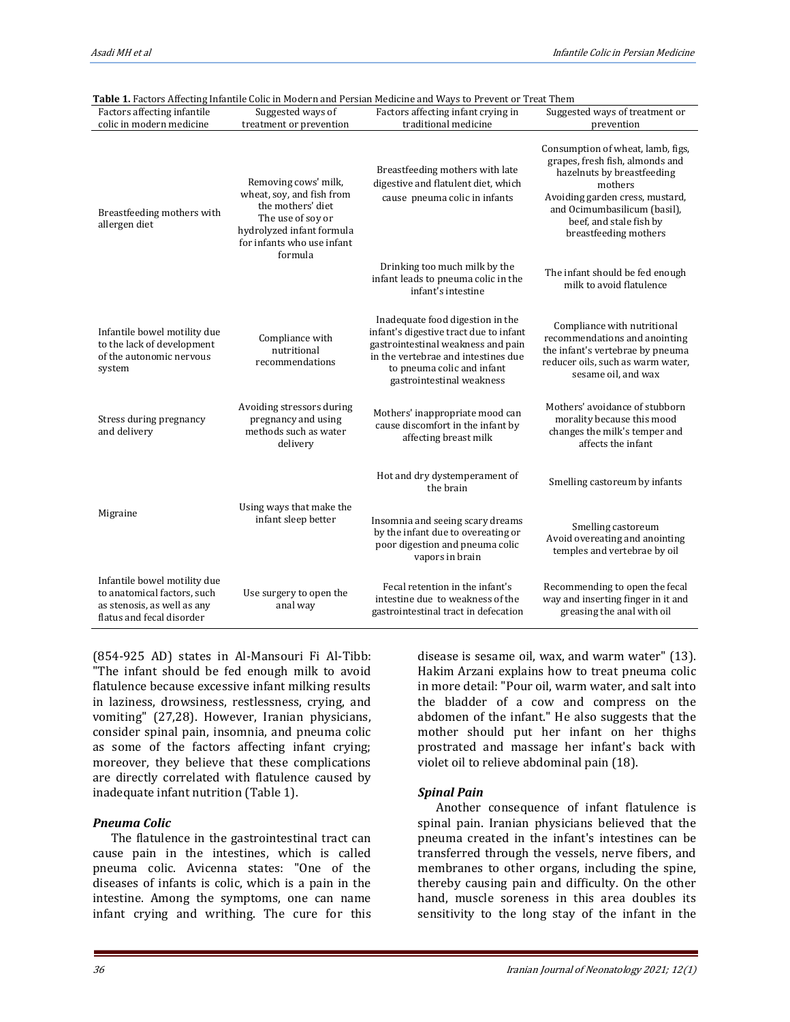| Table 1. Factors Affecting Infantile Colic in Modern and Persian Medicine and Ways to Prevent or Treat Them             |                                                                                                                                                                   |                                                                                                                                                                                                                    |                                                                                                                                                                                                                                      |
|-------------------------------------------------------------------------------------------------------------------------|-------------------------------------------------------------------------------------------------------------------------------------------------------------------|--------------------------------------------------------------------------------------------------------------------------------------------------------------------------------------------------------------------|--------------------------------------------------------------------------------------------------------------------------------------------------------------------------------------------------------------------------------------|
| Factors affecting infantile                                                                                             | Suggested ways of                                                                                                                                                 | Factors affecting infant crying in                                                                                                                                                                                 | Suggested ways of treatment or                                                                                                                                                                                                       |
| colic in modern medicine                                                                                                | treatment or prevention                                                                                                                                           | traditional medicine                                                                                                                                                                                               | prevention                                                                                                                                                                                                                           |
| Breastfeeding mothers with<br>allergen diet                                                                             | Removing cows' milk,<br>wheat, soy, and fish from<br>the mothers' diet<br>The use of soy or<br>hydrolyzed infant formula<br>for infants who use infant<br>formula | Breastfeeding mothers with late<br>digestive and flatulent diet, which<br>cause pneuma colic in infants                                                                                                            | Consumption of wheat, lamb, figs,<br>grapes, fresh fish, almonds and<br>hazelnuts by breastfeeding<br>mothers<br>Avoiding garden cress, mustard,<br>and Ocimumbasilicum (basil),<br>beef, and stale fish by<br>breastfeeding mothers |
|                                                                                                                         |                                                                                                                                                                   | Drinking too much milk by the<br>infant leads to pneuma colic in the<br>infant's intestine                                                                                                                         | The infant should be fed enough<br>milk to avoid flatulence                                                                                                                                                                          |
| Infantile bowel motility due<br>to the lack of development<br>of the autonomic nervous<br>system                        | Compliance with<br>nutritional<br>recommendations                                                                                                                 | Inadequate food digestion in the<br>infant's digestive tract due to infant<br>gastrointestinal weakness and pain<br>in the vertebrae and intestines due<br>to pneuma colic and infant<br>gastrointestinal weakness | Compliance with nutritional<br>recommendations and anointing<br>the infant's vertebrae by pneuma<br>reducer oils, such as warm water,<br>sesame oil, and wax                                                                         |
| Stress during pregnancy<br>and delivery                                                                                 | Avoiding stressors during<br>pregnancy and using<br>methods such as water<br>delivery                                                                             | Mothers' inappropriate mood can<br>cause discomfort in the infant by<br>affecting breast milk                                                                                                                      | Mothers' avoidance of stubborn<br>morality because this mood<br>changes the milk's temper and<br>affects the infant                                                                                                                  |
| Migraine                                                                                                                | Using ways that make the<br>infant sleep better                                                                                                                   | Hot and dry dystemperament of<br>the brain                                                                                                                                                                         | Smelling castoreum by infants                                                                                                                                                                                                        |
|                                                                                                                         |                                                                                                                                                                   | Insomnia and seeing scary dreams<br>by the infant due to overeating or<br>poor digestion and pneuma colic<br>vapors in brain                                                                                       | Smelling castoreum<br>Avoid overeating and anointing<br>temples and vertebrae by oil                                                                                                                                                 |
| Infantile bowel motility due<br>to anatomical factors, such<br>as stenosis, as well as any<br>flatus and fecal disorder | Use surgery to open the<br>anal way                                                                                                                               | Fecal retention in the infant's<br>intestine due to weakness of the<br>gastrointestinal tract in defecation                                                                                                        | Recommending to open the fecal<br>way and inserting finger in it and<br>greasing the anal with oil                                                                                                                                   |

(854-925 AD) states in Al-Mansouri Fi Al-Tibb: "The infant should be fed enough milk to avoid flatulence because excessive infant milking results in laziness, drowsiness, restlessness, crying, and vomiting" (27,28). However, Iranian physicians, consider spinal pain, insomnia, and pneuma colic as some of the factors affecting infant crying; moreover, they believe that these complications are directly correlated with flatulence caused by inadequate infant nutrition (Table 1).

## *Pneuma Colic*

The flatulence in the gastrointestinal tract can cause pain in the intestines, which is called pneuma colic. Avicenna states: "One of the diseases of infants is colic, which is a pain in the intestine. Among the symptoms, one can name infant crying and writhing. The cure for this disease is sesame oil, wax, and warm water" (13). Hakim Arzani explains how to treat pneuma colic in more detail: "Pour oil, warm water, and salt into the bladder of a cow and compress on the abdomen of the infant." He also suggests that the mother should put her infant on her thighs prostrated and massage her infant's back with violet oil to relieve abdominal pain (18).

## *Spinal Pain*

Another consequence of infant flatulence is spinal pain. Iranian physicians believed that the pneuma created in the infant's intestines can be transferred through the vessels, nerve fibers, and membranes to other organs, including the spine, thereby causing pain and difficulty. On the other hand, muscle soreness in this area doubles its sensitivity to the long stay of the infant in the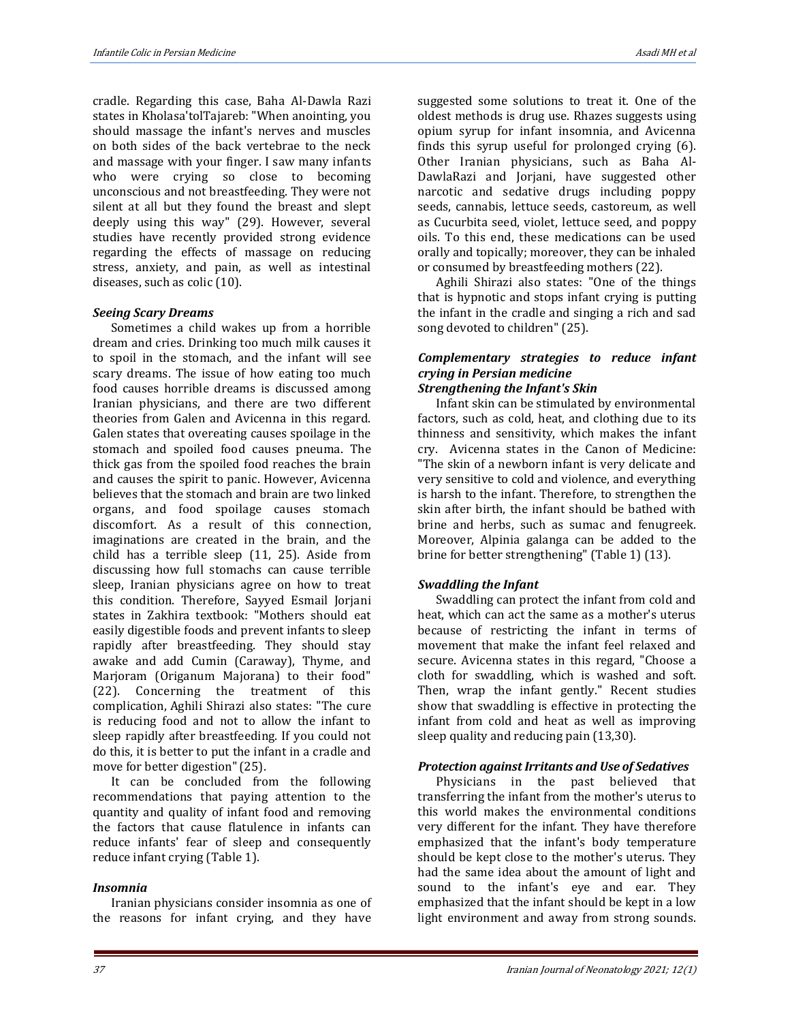cradle. Regarding this case, Baha Al-Dawla Razi states in Kholasa'tolTajareb: "When anointing, you should massage the infant's nerves and muscles on both sides of the back vertebrae to the neck and massage with your finger. I saw many infants who were crying so close to becoming unconscious and not breastfeeding. They were not silent at all but they found the breast and slept deeply using this way" (29). However, several studies have recently provided strong evidence regarding the effects of massage on reducing stress, anxiety, and pain, as well as intestinal diseases, such as colic (10).

#### *Seeing Scary Dreams*

Sometimes a child wakes up from a horrible dream and cries. Drinking too much milk causes it to spoil in the stomach, and the infant will see scary dreams. The issue of how eating too much food causes horrible dreams is discussed among Iranian physicians, and there are two different theories from Galen and Avicenna in this regard. Galen states that overeating causes spoilage in the stomach and spoiled food causes pneuma. The thick gas from the spoiled food reaches the brain and causes the spirit to panic. However, Avicenna believes that the stomach and brain are two linked organs, and food spoilage causes stomach discomfort. As a result of this connection, imaginations are created in the brain, and the child has a terrible sleep (11, 25). Aside from discussing how full stomachs can cause terrible sleep, Iranian physicians agree on how to treat this condition. Therefore, Sayyed Esmail Jorjani states in Zakhira textbook: "Mothers should eat easily digestible foods and prevent infants to sleep rapidly after breastfeeding. They should stay awake and add Cumin (Caraway), Thyme, and Marjoram (Origanum Majorana) to their food" (22). Concerning the treatment of this complication, Aghili Shirazi also states: "The cure is reducing food and not to allow the infant to sleep rapidly after breastfeeding. If you could not do this, it is better to put the infant in a cradle and move for better digestion"(25).

It can be concluded from the following recommendations that paying attention to the quantity and quality of infant food and removing the factors that cause flatulence in infants can reduce infants' fear of sleep and consequently reduce infant crying (Table 1).

#### *Insomnia*

Iranian physicians consider insomnia as one of the reasons for infant crying, and they have suggested some solutions to treat it. One of the oldest methods is drug use. Rhazes suggests using opium syrup for infant insomnia, and Avicenna finds this syrup useful for prolonged crying (6). Other Iranian physicians, such as Baha Al-DawlaRazi and Jorjani, have suggested other narcotic and sedative drugs including poppy seeds, cannabis, lettuce seeds, castoreum, as well as Cucurbita seed, violet, lettuce seed, and poppy oils. To this end, these medications can be used orally and topically; moreover, they can be inhaled or consumed by breastfeeding mothers (22).

Aghili Shirazi also states: "One of the things that is hypnotic and stops infant crying is putting the infant in the cradle and singing a rich and sad song devoted to children" (25).

#### *Complementary strategies to reduce infant crying in Persian medicine Strengthening the Infant's Skin*

Infant skin can be stimulated by environmental factors, such as cold, heat, and clothing due to its thinness and sensitivity, which makes the infant cry. Avicenna states in the Canon of Medicine: "The skin of a newborn infant is very delicate and very sensitive to cold and violence, and everything is harsh to the infant. Therefore, to strengthen the skin after birth, the infant should be bathed with brine and herbs, such as sumac and fenugreek. Moreover, Alpinia galanga can be added to the

brine for better strengthening" (Table 1) (13).

#### *Swaddling the Infant*

Swaddling can protect the infant from cold and heat, which can act the same as a mother's uterus because of restricting the infant in terms of movement that make the infant feel relaxed and secure. Avicenna states in this regard, "Choose a cloth for swaddling, which is washed and soft. Then, wrap the infant gently." Recent studies show that swaddling is effective in protecting the infant from cold and heat as well as improving sleep quality and reducing pain (13,30).

#### *Protection against Irritants and Use of Sedatives*

Physicians in the past believed that transferring the infant from the mother's uterus to this world makes the environmental conditions very different for the infant. They have therefore emphasized that the infant's body temperature should be kept close to the mother's uterus. They had the same idea about the amount of light and sound to the infant's eye and ear. They emphasized that the infant should be kept in a low light environment and away from strong sounds.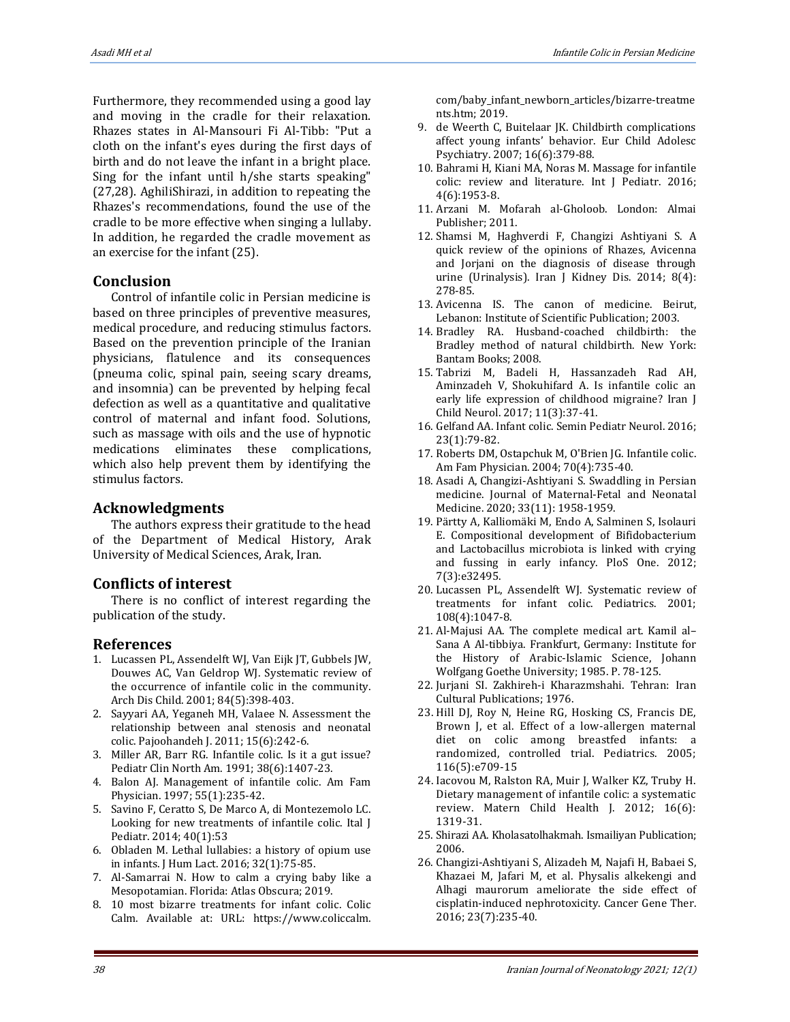Furthermore, they recommended using a good lay and moving in the cradle for their relaxation. Rhazes states in Al-Mansouri Fi Al-Tibb: "Put a cloth on the infant's eyes during the first days of birth and do not leave the infant in a bright place. Sing for the infant until h/she starts speaking" (27,28). AghiliShirazi, in addition to repeating the Rhazes's recommendations, found the use of the cradle to be more effective when singing a lullaby. In addition, he regarded the cradle movement as an exercise for the infant (25).

## **Conclusion**

Control of infantile colic in Persian medicine is based on three principles of preventive measures, medical procedure, and reducing stimulus factors. Based on the prevention principle of the Iranian physicians, flatulence and its consequences (pneuma colic, spinal pain, seeing scary dreams, and insomnia) can be prevented by helping fecal defection as well as a quantitative and qualitative control of maternal and infant food. Solutions, such as massage with oils and the use of hypnotic medications eliminates these complications, which also help prevent them by identifying the stimulus factors.

## **Acknowledgments**

The authors express their gratitude to the head of the Department of Medical History, Arak University of Medical Sciences, Arak, Iran.

## **Conflicts of interest**

There is no conflict of interest regarding the publication of the study.

#### **References**

- 1. Lucassen PL, Assendelft WJ, Van Eijk JT, Gubbels JW, Douwes AC, Van Geldrop WJ. Systematic review of the occurrence of infantile colic in the community. Arch Dis Child. 2001; 84(5):398-403.
- 2. Sayyari AA, Yeganeh MH, Valaee N. Assessment the relationship between anal stenosis and neonatal colic. Pajoohandeh J. 2011; 15(6):242-6.
- 3. Miller AR, Barr RG. Infantile colic. Is it a gut issue? Pediatr Clin North Am. 1991; 38(6):1407-23.
- 4. Balon AJ. Management of infantile colic. Am Fam Physician. 1997; 55(1):235-42.
- 5. Savino F, Ceratto S, De Marco A, di Montezemolo LC. Looking for new treatments of infantile colic. Ital J Pediatr. 2014; 40(1):53
- 6. Obladen M. Lethal lullabies: a history of opium use in infants. J Hum Lact. 2016; 32(1):75-85.
- 7. Al-Samarrai N. How to calm a crying baby like a Mesopotamian. Florida: Atlas Obscura; 2019.
- 8. 10 most bizarre treatments for infant colic. Colic Calm. Available at: URL: [https://www.coliccalm.](https://www.coliccalm.com/baby_infant_newborn_articles/bizarre-treatments.htm)
- 9. de Weerth C, Buitelaar JK. Childbirth complications affect young infants' behavior. Eur Child Adolesc Psychiatry. 2007; 16(6):379-88.
- 10. Bahrami H, Kiani MA, Noras M. Massage for infantile colic: review and literature. Int J Pediatr. 2016; 4(6):1953-8.
- 11. Arzani M. Mofarah al-Gholoob. London: Almai Publisher; 2011.
- 12. Shamsi M, Haghverdi F, Changizi Ashtiyani S. A quick review of the opinions of Rhazes, Avicenna and Jorjani on the diagnosis of disease through urine (Urinalysis). Iran J Kidney Dis. 2014; 8(4): 278-85.
- 13. Avicenna IS. The canon of medicine. Beirut, Lebanon: Institute of Scientific Publication; 2003.
- 14. Bradley RA. Husband-coached childbirth: the Bradley method of natural childbirth. New York: Bantam Books; 2008.
- 15. Tabrizi M, Badeli H, Hassanzadeh Rad AH, Aminzadeh V, Shokuhifard A. Is infantile colic an early life expression of childhood migraine? Iran J Child Neurol. 2017; 11(3):37-41.
- 16. Gelfand AA. Infant colic. Semin Pediatr Neurol. 2016; 23(1):79-82.
- 17. Roberts DM, Ostapchuk M, O'Brien JG. Infantile colic. Am Fam Physician. 2004; 70(4):735-40.
- 18. Asadi A, Changizi-Ashtiyani S. Swaddling in Persian medicine. Journal of Maternal-Fetal and Neonatal Medicine. 2020; 33(11): 1958-1959.
- 19. Pärtty A, Kalliomäki M, Endo A, Salminen S, Isolauri E. Compositional development of Bifidobacterium and Lactobacillus microbiota is linked with crying and fussing in early infancy. PloS One. 2012; 7(3):e32495.
- 20. Lucassen PL, Assendelft WJ. Systematic review of treatments for infant colic. Pediatrics. 2001; 108(4):1047-8.
- 21. Al-Majusi AA. The complete medical art. Kamil al– Sana A Al-tibbiya. Frankfurt, Germany: Institute for the History of Arabic-Islamic Science, Johann Wolfgang Goethe University; 1985. P. 78-125.
- 22. Jurjani SI. Zakhireh-i Kharazmshahi. Tehran: Iran Cultural Publications; 1976.
- 23. Hill DJ, Roy N, Heine RG, Hosking CS, Francis DE, Brown J, et al. Effect of a low-allergen maternal diet on colic among breastfed infants: a randomized, controlled trial. Pediatrics. 2005; 116(5):e709-15
- 24. Iacovou M, Ralston RA, Muir J, Walker KZ, Truby H. Dietary management of infantile colic: a systematic review. Matern Child Health J. 2012; 16(6): 1319-31.
- 25. Shirazi AA. Kholasatolhakmah. Ismailiyan Publication; 2006.
- 26. Changizi-Ashtiyani S, Alizadeh M, Najafi H, Babaei S, Khazaei M, Jafari M, et al. Physalis alkekengi and Alhagi maurorum ameliorate the side effect of cisplatin-induced nephrotoxicity. Cancer Gene Ther. 2016; 23(7):235-40.